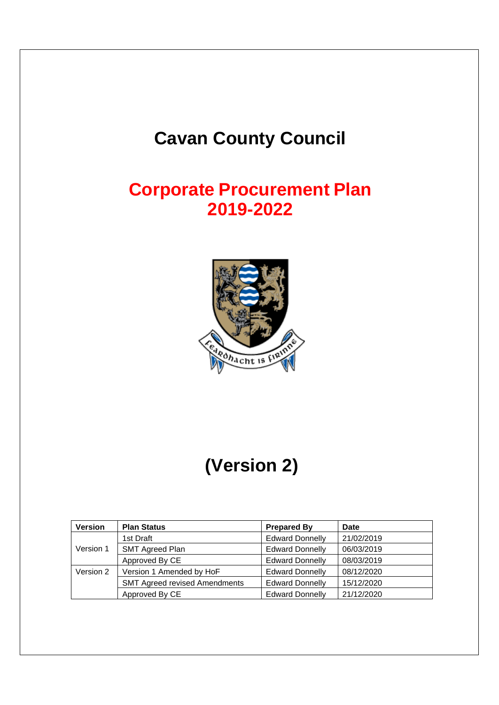# **Cavan County Council**

# **Corporate Procurement Plan 2019-2022**



# **(Version 2)**

| <b>Version</b> | <b>Plan Status</b>                   | <b>Prepared By</b>     | <b>Date</b> |
|----------------|--------------------------------------|------------------------|-------------|
|                | 1st Draft                            | <b>Edward Donnelly</b> | 21/02/2019  |
| Version 1      | <b>SMT Agreed Plan</b>               | <b>Edward Donnelly</b> | 06/03/2019  |
|                | Approved By CE                       | <b>Edward Donnelly</b> | 08/03/2019  |
| Version 2      | Version 1 Amended by HoF             | <b>Edward Donnelly</b> | 08/12/2020  |
|                | <b>SMT Agreed revised Amendments</b> | <b>Edward Donnelly</b> | 15/12/2020  |
|                | Approved By CE                       | <b>Edward Donnelly</b> | 21/12/2020  |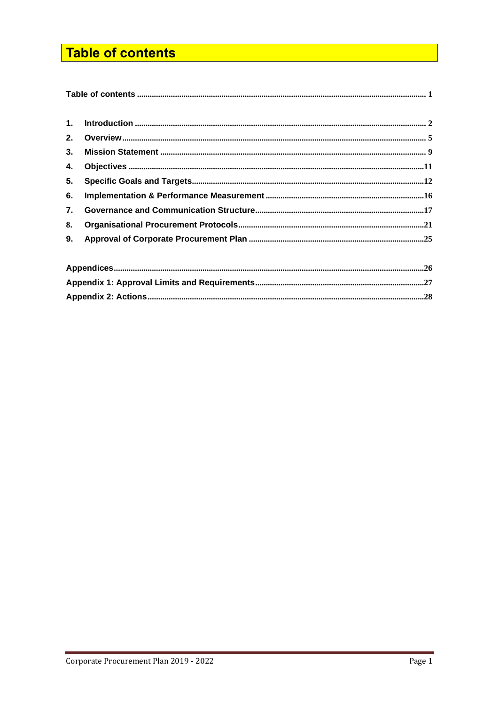# <span id="page-1-0"></span>**Table of contents**

| 1 <sub>1</sub> |  |
|----------------|--|
| 2.             |  |
| 3.             |  |
| 4.             |  |
| 5.             |  |
| 6.             |  |
| 7.             |  |
| 8.             |  |
| 9.             |  |
|                |  |
|                |  |
|                |  |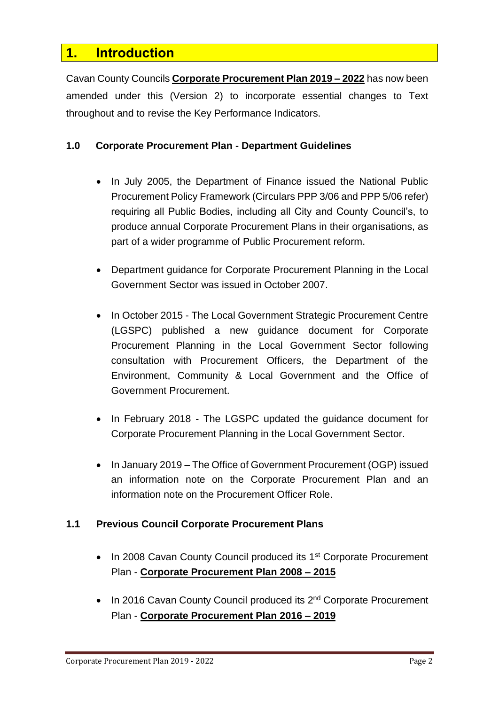# <span id="page-2-0"></span>**1. Introduction**

Cavan County Councils **Corporate Procurement Plan 2019 – 2022** has now been amended under this (Version 2) to incorporate essential changes to Text throughout and to revise the Key Performance Indicators.

## **1.0 Corporate Procurement Plan - Department Guidelines**

- In July 2005, the Department of Finance issued the National Public Procurement Policy Framework (Circulars PPP 3/06 and PPP 5/06 refer) requiring all Public Bodies, including all City and County Council's, to produce annual Corporate Procurement Plans in their organisations, as part of a wider programme of Public Procurement reform.
- Department guidance for Corporate Procurement Planning in the Local Government Sector was issued in October 2007.
- In October 2015 The Local Government Strategic Procurement Centre (LGSPC) published a new guidance document for Corporate Procurement Planning in the Local Government Sector following consultation with Procurement Officers, the Department of the Environment, Community & Local Government and the Office of Government Procurement.
- In February 2018 The LGSPC updated the guidance document for Corporate Procurement Planning in the Local Government Sector.
- In January 2019 The Office of Government Procurement (OGP) issued an information note on the Corporate Procurement Plan and an information note on the Procurement Officer Role.

## **1.1 Previous Council Corporate Procurement Plans**

- In 2008 Cavan County Council produced its 1<sup>st</sup> Corporate Procurement Plan - **Corporate Procurement Plan 2008 – 2015**
- In 2016 Cavan County Council produced its 2<sup>nd</sup> Corporate Procurement Plan - **Corporate Procurement Plan 2016 – 2019**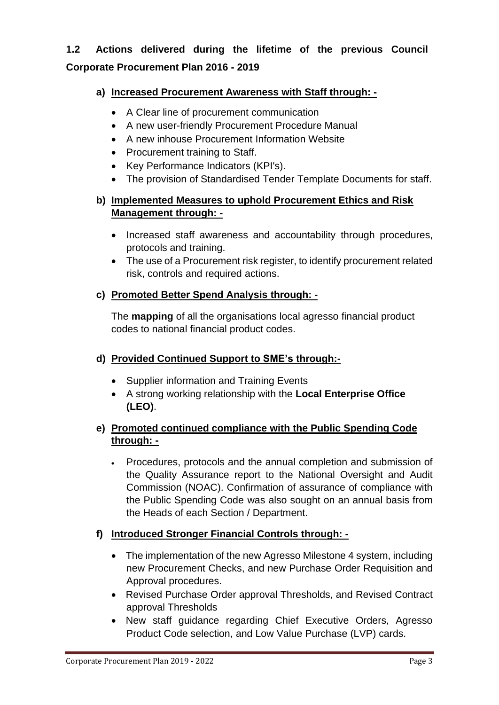# **1.2 Actions delivered during the lifetime of the previous Council Corporate Procurement Plan 2016 - 2019**

# **a) Increased Procurement Awareness with Staff through: -**

- A Clear line of procurement communication
- A new user-friendly Procurement Procedure Manual
- A new inhouse Procurement Information Website
- Procurement training to Staff.
- Key Performance Indicators (KPI's).
- The provision of Standardised Tender Template Documents for staff.

# **b) Implemented Measures to uphold Procurement Ethics and Risk Management through: -**

- Increased staff awareness and accountability through procedures, protocols and training.
- The use of a Procurement risk register, to identify procurement related risk, controls and required actions.

# **c) Promoted Better Spend Analysis through: -**

The **mapping** of all the organisations local agresso financial product codes to national financial product codes.

# **d) Provided Continued Support to SME's through:-**

- Supplier information and Training Events
- A strong working relationship with the **Local Enterprise Office (LEO)**.

# **e) Promoted continued compliance with the Public Spending Code through: -**

• Procedures, protocols and the annual completion and submission of the Quality Assurance report to the National Oversight and Audit Commission (NOAC). Confirmation of assurance of compliance with the Public Spending Code was also sought on an annual basis from the Heads of each Section / Department.

# **f) Introduced Stronger Financial Controls through: -**

- The implementation of the new Agresso Milestone 4 system, including new Procurement Checks, and new Purchase Order Requisition and Approval procedures.
- Revised Purchase Order approval Thresholds, and Revised Contract approval Thresholds
- New staff guidance regarding Chief Executive Orders, Agresso Product Code selection, and Low Value Purchase (LVP) cards.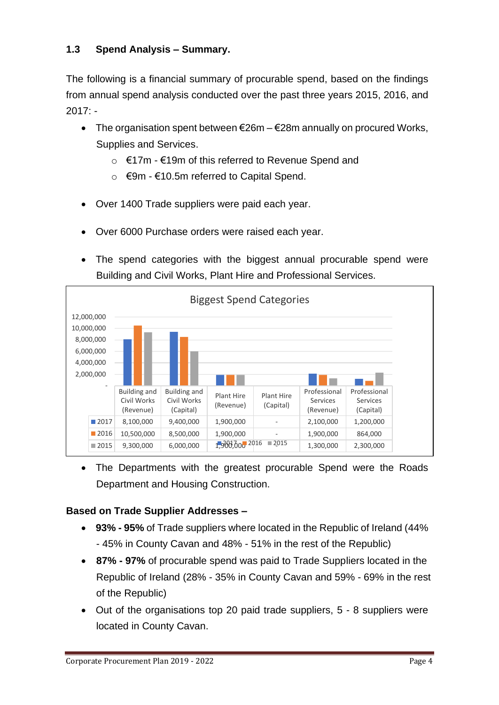# **1.3 Spend Analysis – Summary.**

The following is a financial summary of procurable spend, based on the findings from annual spend analysis conducted over the past three years 2015, 2016, and  $2017: -$ 

- The organisation spent between  $\epsilon$ 26m  $\epsilon$ 28m annually on procured Works, Supplies and Services.
	- o €17m €19m of this referred to Revenue Spend and
	- $\circ$  €9m €10.5m referred to Capital Spend.
- Over 1400 Trade suppliers were paid each year.
- Over 6000 Purchase orders were raised each year.
- The spend categories with the biggest annual procurable spend were Building and Civil Works, Plant Hire and Professional Services.



• The Departments with the greatest procurable Spend were the Roads Department and Housing Construction.

## **Based on Trade Supplier Addresses –**

- **93% - 95%** of Trade suppliers where located in the Republic of Ireland (44% - 45% in County Cavan and 48% - 51% in the rest of the Republic)
- **87% - 97%** of procurable spend was paid to Trade Suppliers located in the Republic of Ireland (28% - 35% in County Cavan and 59% - 69% in the rest of the Republic)
- Out of the organisations top 20 paid trade suppliers, 5 8 suppliers were located in County Cavan.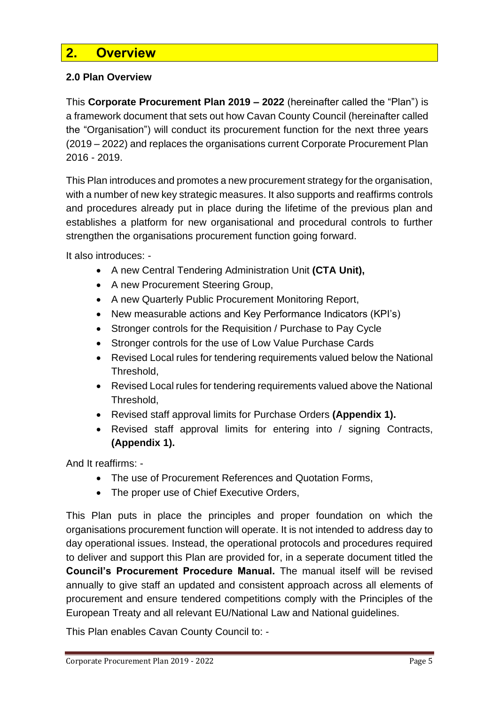# <span id="page-5-0"></span>**2. Overview**

## **2.0 Plan Overview**

This **Corporate Procurement Plan 2019 – 2022** (hereinafter called the "Plan") is a framework document that sets out how Cavan County Council (hereinafter called the "Organisation") will conduct its procurement function for the next three years (2019 – 2022) and replaces the organisations current Corporate Procurement Plan 2016 - 2019.

This Plan introduces and promotes a new procurement strategy for the organisation, with a number of new key strategic measures. It also supports and reaffirms controls and procedures already put in place during the lifetime of the previous plan and establishes a platform for new organisational and procedural controls to further strengthen the organisations procurement function going forward.

It also introduces: -

- A new Central Tendering Administration Unit **(CTA Unit),**
- A new Procurement Steering Group,
- A new Quarterly Public Procurement Monitoring Report,
- New measurable actions and Key Performance Indicators (KPI's)
- Stronger controls for the Requisition / Purchase to Pay Cycle
- Stronger controls for the use of Low Value Purchase Cards
- Revised Local rules for tendering requirements valued below the National Threshold,
- Revised Local rules for tendering requirements valued above the National Threshold,
- Revised staff approval limits for Purchase Orders **(Appendix 1).**
- Revised staff approval limits for entering into / signing Contracts, **(Appendix 1).**

And It reaffirms: -

- The use of Procurement References and Quotation Forms,
- The proper use of Chief Executive Orders,

This Plan puts in place the principles and proper foundation on which the organisations procurement function will operate. It is not intended to address day to day operational issues. Instead, the operational protocols and procedures required to deliver and support this Plan are provided for, in a seperate document titled the **Council's Procurement Procedure Manual.** The manual itself will be revised annually to give staff an updated and consistent approach across all elements of procurement and ensure tendered competitions comply with the Principles of the European Treaty and all relevant EU/National Law and National guidelines.

This Plan enables Cavan County Council to: -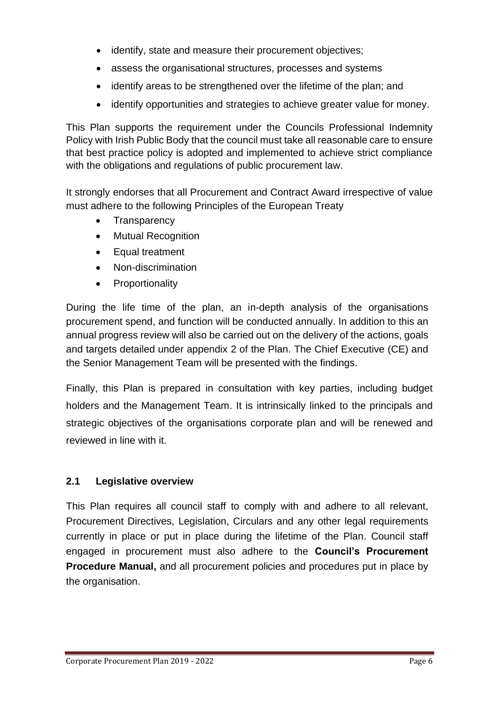- identify, state and measure their procurement objectives;
- assess the organisational structures, processes and systems
- identify areas to be strengthened over the lifetime of the plan; and
- identify opportunities and strategies to achieve greater value for money.

This Plan supports the requirement under the Councils Professional Indemnity Policy with Irish Public Body that the council must take all reasonable care to ensure that best practice policy is adopted and implemented to achieve strict compliance with the obligations and regulations of public procurement law.

It strongly endorses that all Procurement and Contract Award irrespective of value must adhere to the following Principles of the European Treaty

- Transparency
- Mutual Recognition
- Equal treatment
- Non-discrimination
- Proportionality

During the life time of the plan, an in-depth analysis of the organisations procurement spend, and function will be conducted annually. In addition to this an annual progress review will also be carried out on the delivery of the actions, goals and targets detailed under appendix 2 of the Plan. The Chief Executive (CE) and the Senior Management Team will be presented with the findings.

Finally, this Plan is prepared in consultation with key parties, including budget holders and the Management Team. It is intrinsically linked to the principals and strategic objectives of the organisations corporate plan and will be renewed and reviewed in line with it.

# **2.1 Legislative overview**

This Plan requires all council staff to comply with and adhere to all relevant, Procurement Directives, Legislation, Circulars and any other legal requirements currently in place or put in place during the lifetime of the Plan. Council staff engaged in procurement must also adhere to the **Council's Procurement Procedure Manual,** and all procurement policies and procedures put in place by the organisation.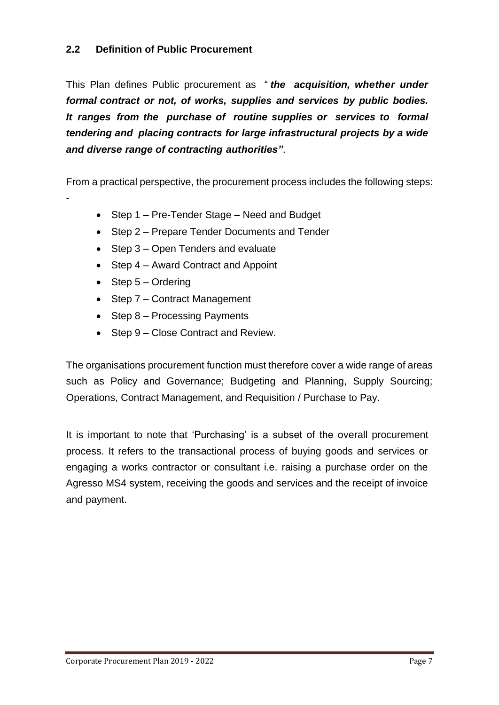# **2.2 Definition of Public Procurement**

This Plan defines Public procurement as " *the acquisition, whether under formal contract or not, of works, supplies and services by public bodies. It ranges from the purchase of routine supplies or services to formal tendering and placing contracts for large infrastructural projects by a wide and diverse range of contracting authorities"*.

From a practical perspective, the procurement process includes the following steps:

- Step 1 Pre-Tender Stage Need and Budget
- Step 2 Prepare Tender Documents and Tender
- Step 3 Open Tenders and evaluate
- Step 4 Award Contract and Appoint
- Step 5 Ordering

-

- Step 7 Contract Management
- Step 8 Processing Payments
- Step 9 Close Contract and Review.

The organisations procurement function must therefore cover a wide range of areas such as Policy and Governance; Budgeting and Planning, Supply Sourcing; Operations, Contract Management, and Requisition / Purchase to Pay.

It is important to note that 'Purchasing' is a subset of the overall procurement process. It refers to the transactional process of buying goods and services or engaging a works contractor or consultant i.e. raising a purchase order on the Agresso MS4 system, receiving the goods and services and the receipt of invoice and payment.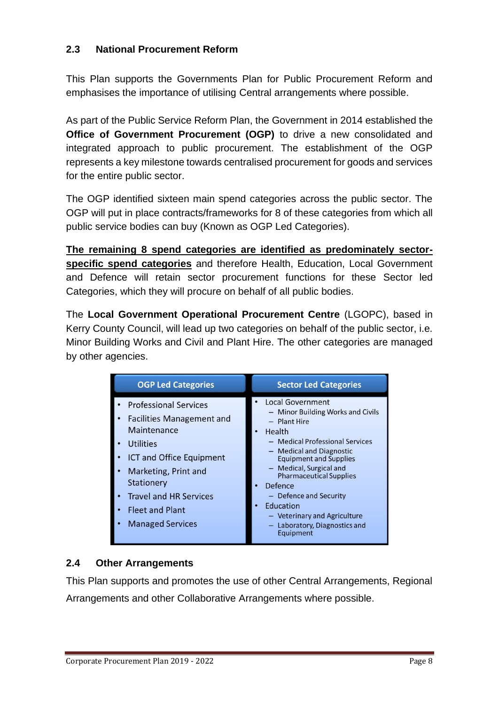# **2.3 National Procurement Reform**

This Plan supports the Governments Plan for Public Procurement Reform and emphasises the importance of utilising Central arrangements where possible.

As part of the Public Service Reform Plan, the Government in 2014 established the **Office of Government Procurement (OGP)** to drive a new consolidated and integrated approach to public procurement. The establishment of the OGP represents a key milestone towards centralised procurement for goods and services for the entire public sector.

The OGP identified sixteen main spend categories across the public sector. The OGP will put in place contracts/frameworks for 8 of these categories from which all public service bodies can buy (Known as OGP Led Categories).

**The remaining 8 spend categories are identified as predominately sectorspecific spend categories** and therefore Health, Education, Local Government and Defence will retain sector procurement functions for these Sector led Categories, which they will procure on behalf of all public bodies.

The **Local Government Operational Procurement Centre** (LGOPC), based in Kerry County Council, will lead up two categories on behalf of the public sector, i.e. Minor Building Works and Civil and Plant Hire. The other categories are managed by other agencies.

| <b>OGP Led Categories</b>                                                                                                                                                                                                                                                                                                                              | <b>Sector Led Categories</b>                                                                                                                                                                                                                                                                                                                                                      |
|--------------------------------------------------------------------------------------------------------------------------------------------------------------------------------------------------------------------------------------------------------------------------------------------------------------------------------------------------------|-----------------------------------------------------------------------------------------------------------------------------------------------------------------------------------------------------------------------------------------------------------------------------------------------------------------------------------------------------------------------------------|
| <b>Professional Services</b><br><b>Facilities Management and</b><br>$\bullet$<br>Maintenance<br>Utilities<br>$\bullet$<br><b>ICT and Office Equipment</b><br>$\bullet$<br>Marketing, Print and<br>$\bullet$<br>Stationery<br><b>Travel and HR Services</b><br>$\bullet$<br><b>Fleet and Plant</b><br>$\bullet$<br><b>Managed Services</b><br>$\bullet$ | <b>Local Government</b><br>- Minor Building Works and Civils<br>- Plant Hire<br>Health<br>- Medical Professional Services<br>- Medical and Diagnostic<br><b>Equipment and Supplies</b><br>- Medical, Surgical and<br><b>Pharmaceutical Supplies</b><br>Defence<br>- Defence and Security<br>Education<br>- Veterinary and Agriculture<br>Laboratory, Diagnostics and<br>Equipment |

# **2.4 Other Arrangements**

This Plan supports and promotes the use of other Central Arrangements, Regional Arrangements and other Collaborative Arrangements where possible.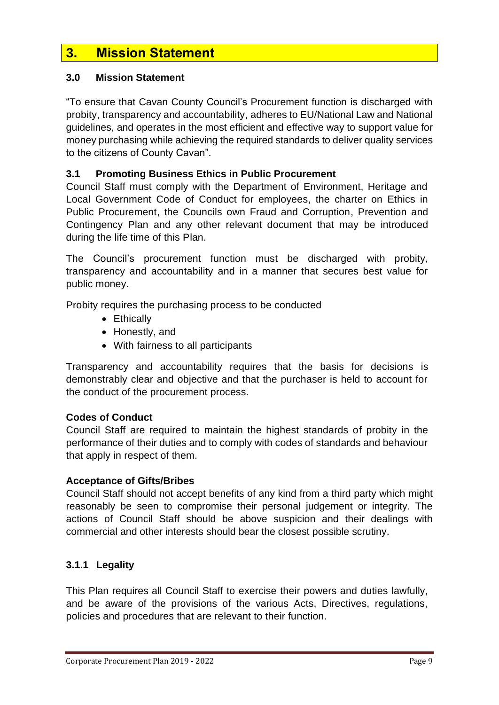# <span id="page-9-0"></span>**3. Mission Statement**

#### **3.0 Mission Statement**

"To ensure that Cavan County Council's Procurement function is discharged with probity, transparency and accountability, adheres to EU/National Law and National guidelines, and operates in the most efficient and effective way to support value for money purchasing while achieving the required standards to deliver quality services to the citizens of County Cavan".

#### **3.1 Promoting Business Ethics in Public Procurement**

Council Staff must comply with the Department of Environment, Heritage and Local Government Code of Conduct for employees, the charter on Ethics in Public Procurement, the Councils own Fraud and Corruption, Prevention and Contingency Plan and any other relevant document that may be introduced during the life time of this Plan.

The Council's procurement function must be discharged with probity, transparency and accountability and in a manner that secures best value for public money.

Probity requires the purchasing process to be conducted

- Ethically
- Honestly, and
- With fairness to all participants

Transparency and accountability requires that the basis for decisions is demonstrably clear and objective and that the purchaser is held to account for the conduct of the procurement process.

#### **Codes of Conduct**

Council Staff are required to maintain the highest standards of probity in the performance of their duties and to comply with codes of standards and behaviour that apply in respect of them.

#### **Acceptance of Gifts/Bribes**

Council Staff should not accept benefits of any kind from a third party which might reasonably be seen to compromise their personal judgement or integrity. The actions of Council Staff should be above suspicion and their dealings with commercial and other interests should bear the closest possible scrutiny.

#### **3.1.1 Legality**

This Plan requires all Council Staff to exercise their powers and duties lawfully, and be aware of the provisions of the various Acts, Directives, regulations, policies and procedures that are relevant to their function.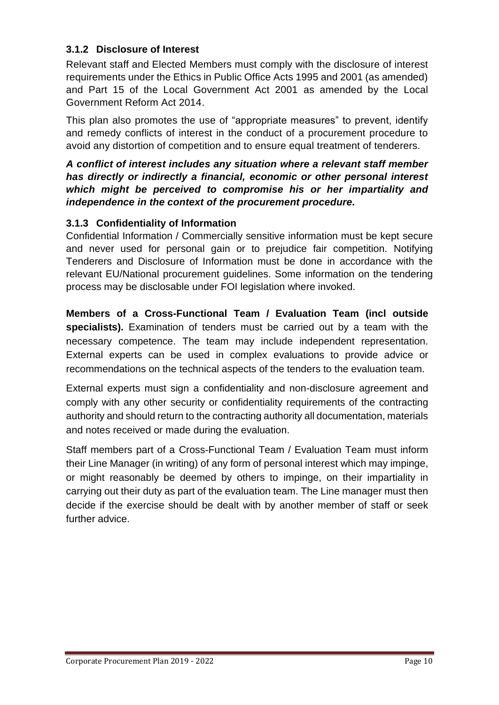# **3.1.2 Disclosure of Interest**

Relevant staff and Elected Members must comply with the disclosure of interest requirements under the Ethics in Public Office Acts 1995 and 2001 (as amended) and Part 15 of the Local Government Act 2001 as amended by the Local Government Reform Act 2014.

This plan also promotes the use of "appropriate measures" to prevent, identify and remedy conflicts of interest in the conduct of a procurement procedure to avoid any distortion of competition and to ensure equal treatment of tenderers.

## *A conflict of interest includes any situation where a relevant staff member has directly or indirectly a financial, economic or other personal interest which might be perceived to compromise his or her impartiality and independence in the context of the procurement procedure.*

## **3.1.3 Confidentiality of Information**

Confidential Information / Commercially sensitive information must be kept secure and never used for personal gain or to prejudice fair competition. Notifying Tenderers and Disclosure of Information must be done in accordance with the relevant EU/National procurement guidelines. Some information on the tendering process may be disclosable under FOI legislation where invoked.

**Members of a Cross-Functional Team / Evaluation Team (incl outside specialists).** Examination of tenders must be carried out by a team with the necessary competence. The team may include independent representation. External experts can be used in complex evaluations to provide advice or recommendations on the technical aspects of the tenders to the evaluation team.

External experts must sign a confidentiality and non-disclosure agreement and comply with any other security or confidentiality requirements of the contracting authority and should return to the contracting authority all documentation, materials and notes received or made during the evaluation.

Staff members part of a Cross-Functional Team / Evaluation Team must inform their Line Manager (in writing) of any form of personal interest which may impinge, or might reasonably be deemed by others to impinge, on their impartiality in carrying out their duty as part of the evaluation team. The Line manager must then decide if the exercise should be dealt with by another member of staff or seek further advice.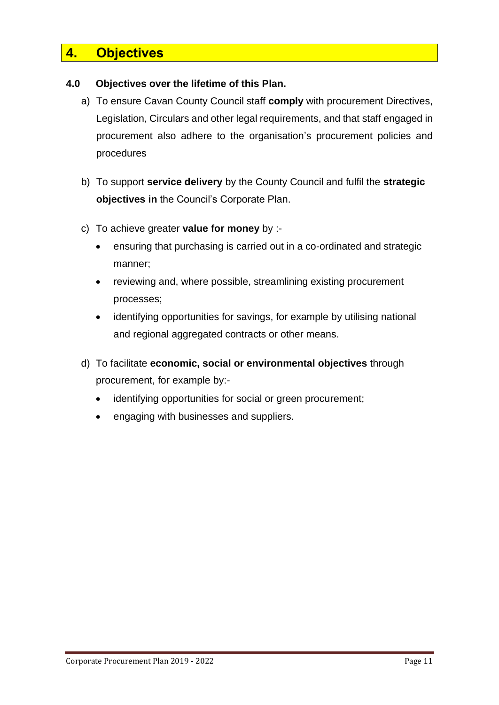# <span id="page-11-0"></span>**4. Objectives**

## **4.0 Objectives over the lifetime of this Plan.**

- a) To ensure Cavan County Council staff **comply** with procurement Directives, Legislation, Circulars and other legal requirements, and that staff engaged in procurement also adhere to the organisation's procurement policies and procedures
- b) To support **service delivery** by the County Council and fulfil the **strategic objectives in** the Council's Corporate Plan.
- c) To achieve greater **value for money** by :-
	- ensuring that purchasing is carried out in a co-ordinated and strategic manner;
	- reviewing and, where possible, streamlining existing procurement processes;
	- identifying opportunities for savings, for example by utilising national and regional aggregated contracts or other means.
- d) To facilitate **economic, social or environmental objectives** through procurement, for example by:
	- identifying opportunities for social or green procurement;
	- engaging with businesses and suppliers.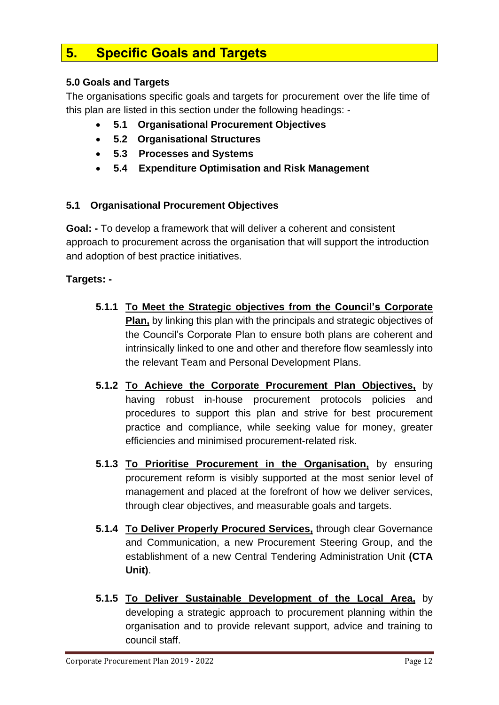# <span id="page-12-0"></span>**5. Specific Goals and Targets**

# **5.0 Goals and Targets**

The organisations specific goals and targets for procurement over the life time of this plan are listed in this section under the following headings: -

- **5.1 Organisational Procurement Objectives**
- **5.2 Organisational Structures**
- **5.3 Processes and Systems**
- **5.4 Expenditure Optimisation and Risk Management**

## **5.1 Organisational Procurement Objectives**

**Goal: -** To develop a framework that will deliver a coherent and consistent approach to procurement across the organisation that will support the introduction and adoption of best practice initiatives.

- **5.1.1 To Meet the Strategic objectives from the Council's Corporate Plan,** by linking this plan with the principals and strategic objectives of the Council's Corporate Plan to ensure both plans are coherent and intrinsically linked to one and other and therefore flow seamlessly into the relevant Team and Personal Development Plans.
- **5.1.2 To Achieve the Corporate Procurement Plan Objectives,** by having robust in-house procurement protocols policies and procedures to support this plan and strive for best procurement practice and compliance, while seeking value for money, greater efficiencies and minimised procurement-related risk.
- **5.1.3 To Prioritise Procurement in the Organisation,** by ensuring procurement reform is visibly supported at the most senior level of management and placed at the forefront of how we deliver services, through clear objectives, and measurable goals and targets.
- **5.1.4 To Deliver Properly Procured Services,** through clear Governance and Communication, a new Procurement Steering Group, and the establishment of a new Central Tendering Administration Unit **(CTA Unit)**.
- **5.1.5 To Deliver Sustainable Development of the Local Area,** by developing a strategic approach to procurement planning within the organisation and to provide relevant support, advice and training to council staff.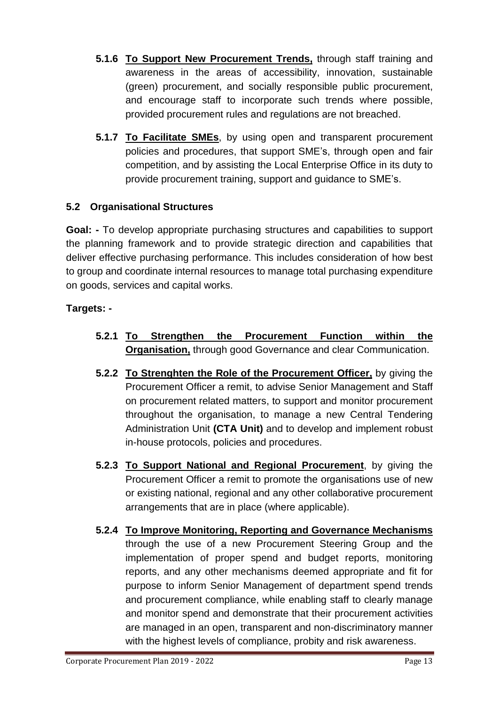- **5.1.6 To Support New Procurement Trends,** through staff training and awareness in the areas of accessibility, innovation, sustainable (green) procurement, and socially responsible public procurement, and encourage staff to incorporate such trends where possible, provided procurement rules and regulations are not breached.
- **5.1.7 To Facilitate SMEs**, by using open and transparent procurement policies and procedures, that support SME's, through open and fair competition, and by assisting the Local Enterprise Office in its duty to provide procurement training, support and guidance to SME's.

# **5.2 Organisational Structures**

**Goal: -** To develop appropriate purchasing structures and capabilities to support the planning framework and to provide strategic direction and capabilities that deliver effective purchasing performance. This includes consideration of how best to group and coordinate internal resources to manage total purchasing expenditure on goods, services and capital works.

- **5.2.1 To Strengthen the Procurement Function within the Organisation,** through good Governance and clear Communication.
- **5.2.2 To Strenghten the Role of the Procurement Officer,** by giving the Procurement Officer a remit, to advise Senior Management and Staff on procurement related matters, to support and monitor procurement throughout the organisation, to manage a new Central Tendering Administration Unit **(CTA Unit)** and to develop and implement robust in-house protocols, policies and procedures.
- **5.2.3 To Support National and Regional Procurement**, by giving the Procurement Officer a remit to promote the organisations use of new or existing national, regional and any other collaborative procurement arrangements that are in place (where applicable).
- **5.2.4 To Improve Monitoring, Reporting and Governance Mechanisms** through the use of a new Procurement Steering Group and the implementation of proper spend and budget reports, monitoring reports, and any other mechanisms deemed appropriate and fit for purpose to inform Senior Management of department spend trends and procurement compliance, while enabling staff to clearly manage and monitor spend and demonstrate that their procurement activities are managed in an open, transparent and non-discriminatory manner with the highest levels of compliance, probity and risk awareness.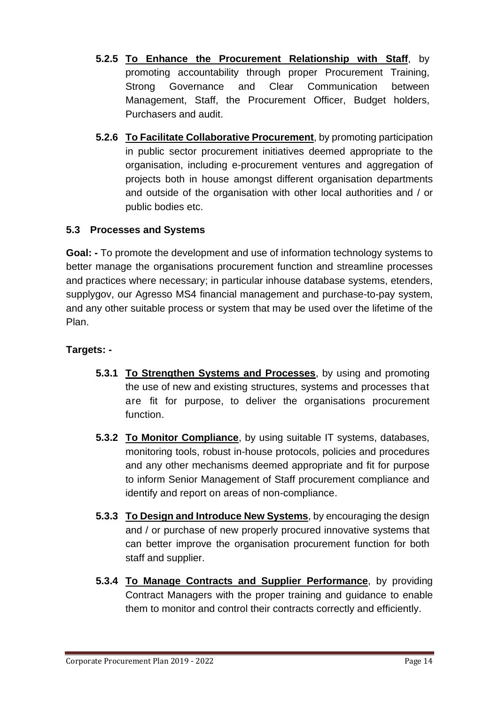- **5.2.5 To Enhance the Procurement Relationship with Staff**, by promoting accountability through proper Procurement Training, Strong Governance and Clear Communication between Management, Staff, the Procurement Officer, Budget holders, Purchasers and audit.
- **5.2.6 To Facilitate Collaborative Procurement**, by promoting participation in public sector procurement initiatives deemed appropriate to the organisation, including e-procurement ventures and aggregation of projects both in house amongst different organisation departments and outside of the organisation with other local authorities and / or public bodies etc.

# **5.3 Processes and Systems**

**Goal: -** To promote the development and use of information technology systems to better manage the organisations procurement function and streamline processes and practices where necessary; in particular inhouse database systems, etenders, supplygov, our Agresso MS4 financial management and purchase-to-pay system, and any other suitable process or system that may be used over the lifetime of the Plan.

- **5.3.1 To Strengthen Systems and Processes**, by using and promoting the use of new and existing structures, systems and processes that are fit for purpose, to deliver the organisations procurement function.
- **5.3.2 To Monitor Compliance**, by using suitable IT systems, databases, monitoring tools, robust in-house protocols, policies and procedures and any other mechanisms deemed appropriate and fit for purpose to inform Senior Management of Staff procurement compliance and identify and report on areas of non-compliance.
- **5.3.3 To Design and Introduce New Systems**, by encouraging the design and / or purchase of new properly procured innovative systems that can better improve the organisation procurement function for both staff and supplier.
- **5.3.4 To Manage Contracts and Supplier Performance**, by providing Contract Managers with the proper training and guidance to enable them to monitor and control their contracts correctly and efficiently.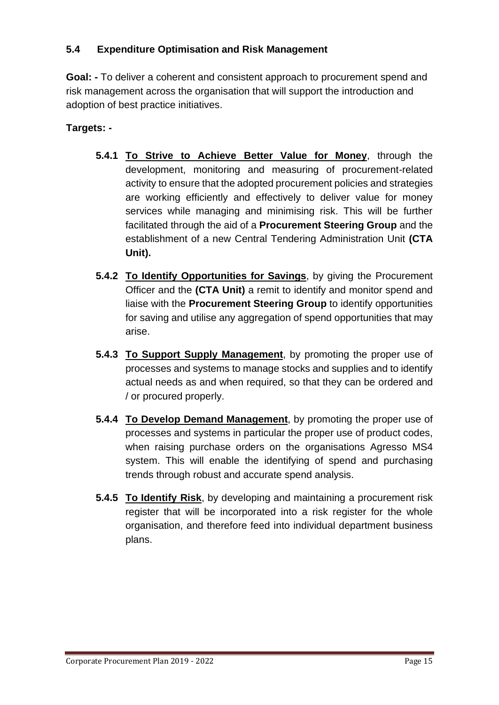# **5.4 Expenditure Optimisation and Risk Management**

**Goal: -** To deliver a coherent and consistent approach to procurement spend and risk management across the organisation that will support the introduction and adoption of best practice initiatives.

- **5.4.1 To Strive to Achieve Better Value for Money**, through the development, monitoring and measuring of procurement-related activity to ensure that the adopted procurement policies and strategies are working efficiently and effectively to deliver value for money services while managing and minimising risk. This will be further facilitated through the aid of a **Procurement Steering Group** and the establishment of a new Central Tendering Administration Unit **(CTA Unit).**
- **5.4.2 To Identify Opportunities for Savings**, by giving the Procurement Officer and the **(CTA Unit)** a remit to identify and monitor spend and liaise with the **Procurement Steering Group** to identify opportunities for saving and utilise any aggregation of spend opportunities that may arise.
- **5.4.3 To Support Supply Management**, by promoting the proper use of processes and systems to manage stocks and supplies and to identify actual needs as and when required, so that they can be ordered and / or procured properly.
- **5.4.4 To Develop Demand Management**, by promoting the proper use of processes and systems in particular the proper use of product codes, when raising purchase orders on the organisations Agresso MS4 system. This will enable the identifying of spend and purchasing trends through robust and accurate spend analysis.
- **5.4.5 To Identify Risk**, by developing and maintaining a procurement risk register that will be incorporated into a risk register for the whole organisation, and therefore feed into individual department business plans.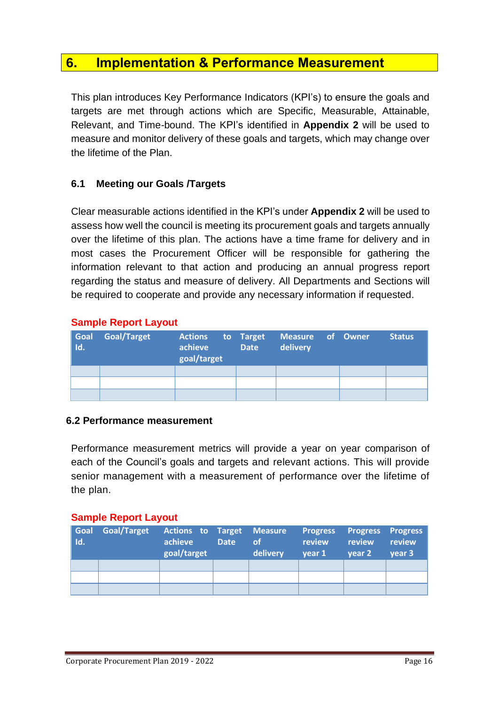# <span id="page-16-0"></span>**6. Implementation & Performance Measurement**

This plan introduces Key Performance Indicators (KPI's) to ensure the goals and targets are met through actions which are Specific, Measurable, Attainable, Relevant, and Time-bound. The KPI's identified in **Appendix 2** will be used to measure and monitor delivery of these goals and targets, which may change over the lifetime of the Plan.

# **6.1 Meeting our Goals /Targets**

Clear measurable actions identified in the KPI's under **Appendix 2** will be used to assess how well the council is meeting its procurement goals and targets annually over the lifetime of this plan. The actions have a time frame for delivery and in most cases the Procurement Officer will be responsible for gathering the information relevant to that action and producing an annual progress report regarding the status and measure of delivery. All Departments and Sections will be required to cooperate and provide any necessary information if requested.

#### **Sample Report Layout**

| Goal<br>Id. | <b>Goal/Target</b> | <b>Actions</b> to Target<br>achieve<br>goal/target | <b>Date</b> | Measure of Owner<br>delivery | <b>Status</b> |
|-------------|--------------------|----------------------------------------------------|-------------|------------------------------|---------------|
|             |                    |                                                    |             |                              |               |
|             |                    |                                                    |             |                              |               |
|             |                    |                                                    |             |                              |               |

#### **6.2 Performance measurement**

Performance measurement metrics will provide a year on year comparison of each of the Council's goals and targets and relevant actions. This will provide senior management with a measurement of performance over the lifetime of the plan.

#### **Sample Report Layout**

| <b>Goal</b><br>l Id. | <b>Goal/Target</b> | Actions to Target Measure Progress Progress Progress<br>achieve<br>goal/target | <b>Date</b> | <b>of</b><br>delivery | review<br>vear 1 | review<br>vear 2 | review<br>vear 3 |
|----------------------|--------------------|--------------------------------------------------------------------------------|-------------|-----------------------|------------------|------------------|------------------|
|                      |                    |                                                                                |             |                       |                  |                  |                  |
|                      |                    |                                                                                |             |                       |                  |                  |                  |
|                      |                    |                                                                                |             |                       |                  |                  |                  |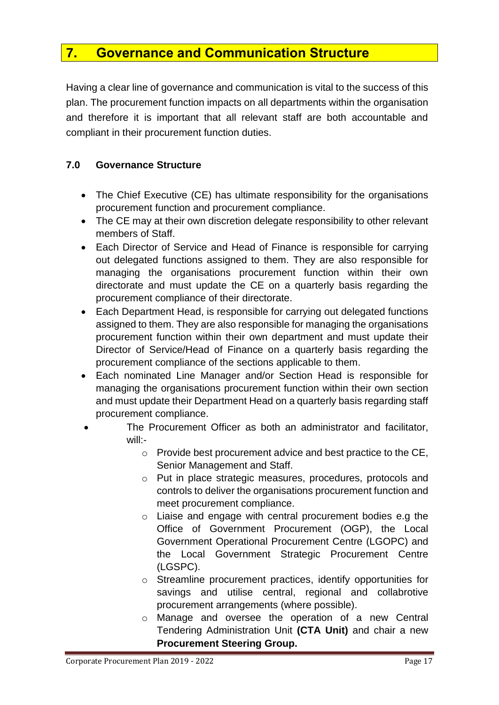# <span id="page-17-0"></span>**7. Governance and Communication Structure**

Having a clear line of governance and communication is vital to the success of this plan. The procurement function impacts on all departments within the organisation and therefore it is important that all relevant staff are both accountable and compliant in their procurement function duties.

## **7.0 Governance Structure**

- The Chief Executive (CE) has ultimate responsibility for the organisations procurement function and procurement compliance.
- The CE may at their own discretion delegate responsibility to other relevant members of Staff.
- Each Director of Service and Head of Finance is responsible for carrying out delegated functions assigned to them. They are also responsible for managing the organisations procurement function within their own directorate and must update the CE on a quarterly basis regarding the procurement compliance of their directorate.
- Each Department Head, is responsible for carrying out delegated functions assigned to them. They are also responsible for managing the organisations procurement function within their own department and must update their Director of Service/Head of Finance on a quarterly basis regarding the procurement compliance of the sections applicable to them.
- Each nominated Line Manager and/or Section Head is responsible for managing the organisations procurement function within their own section and must update their Department Head on a quarterly basis regarding staff procurement compliance.
- The Procurement Officer as both an administrator and facilitator, will:
	- o Provide best procurement advice and best practice to the CE, Senior Management and Staff.
	- o Put in place strategic measures, procedures, protocols and controls to deliver the organisations procurement function and meet procurement compliance.
	- o Liaise and engage with central procurement bodies e.g the Office of Government Procurement (OGP), the Local Government Operational Procurement Centre (LGOPC) and the Local Government Strategic Procurement Centre (LGSPC).
	- o Streamline procurement practices, identify opportunities for savings and utilise central, regional and collabrotive procurement arrangements (where possible).
	- o Manage and oversee the operation of a new Central Tendering Administration Unit **(CTA Unit)** and chair a new **Procurement Steering Group.**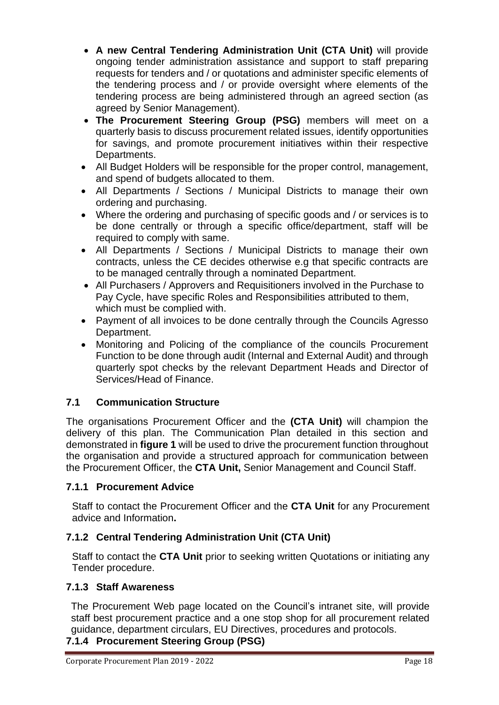- **A new Central Tendering Administration Unit (CTA Unit)** will provide ongoing tender administration assistance and support to staff preparing requests for tenders and / or quotations and administer specific elements of the tendering process and / or provide oversight where elements of the tendering process are being administered through an agreed section (as agreed by Senior Management).
- **The Procurement Steering Group (PSG)** members will meet on a quarterly basis to discuss procurement related issues, identify opportunities for savings, and promote procurement initiatives within their respective Departments.
- All Budget Holders will be responsible for the proper control, management, and spend of budgets allocated to them.
- All Departments / Sections / Municipal Districts to manage their own ordering and purchasing.
- Where the ordering and purchasing of specific goods and / or services is to be done centrally or through a specific office/department, staff will be required to comply with same.
- All Departments / Sections / Municipal Districts to manage their own contracts, unless the CE decides otherwise e.g that specific contracts are to be managed centrally through a nominated Department.
- All Purchasers / Approvers and Requisitioners involved in the Purchase to Pay Cycle, have specific Roles and Responsibilities attributed to them, which must be complied with.
- Payment of all invoices to be done centrally through the Councils Agresso Department.
- Monitoring and Policing of the compliance of the councils Procurement Function to be done through audit (Internal and External Audit) and through quarterly spot checks by the relevant Department Heads and Director of Services/Head of Finance.

# **7.1 Communication Structure**

The organisations Procurement Officer and the **(CTA Unit)** will champion the delivery of this plan. The Communication Plan detailed in this section and demonstrated in **figure 1** will be used to drive the procurement function throughout the organisation and provide a structured approach for communication between the Procurement Officer, the **CTA Unit,** Senior Management and Council Staff.

## **7.1.1 Procurement Advice**

Staff to contact the Procurement Officer and the **CTA Unit** for any Procurement advice and Information**.**

## **7.1.2 Central Tendering Administration Unit (CTA Unit)**

Staff to contact the **CTA Unit** prior to seeking written Quotations or initiating any Tender procedure.

#### **7.1.3 Staff Awareness**

The Procurement Web page located on the Council's intranet site, will provide staff best procurement practice and a one stop shop for all procurement related guidance, department circulars, EU Directives, procedures and protocols.

#### **7.1.4 Procurement Steering Group (PSG)**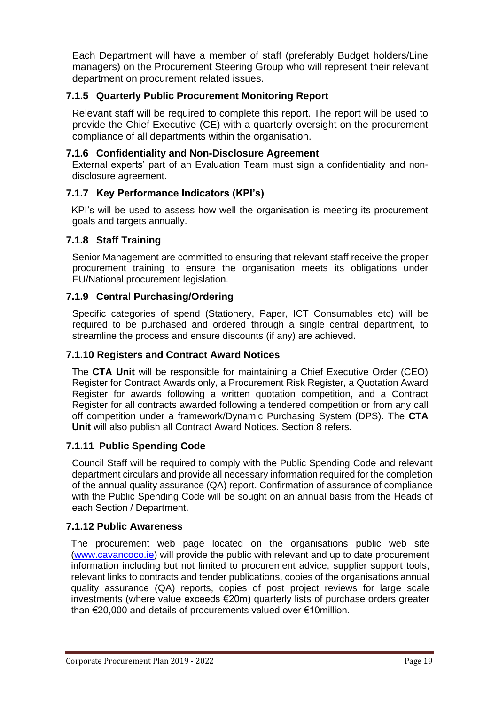Each Department will have a member of staff (preferably Budget holders/Line managers) on the Procurement Steering Group who will represent their relevant department on procurement related issues.

## **7.1.5 Quarterly Public Procurement Monitoring Report**

Relevant staff will be required to complete this report. The report will be used to provide the Chief Executive (CE) with a quarterly oversight on the procurement compliance of all departments within the organisation.

#### **7.1.6 Confidentiality and Non-Disclosure Agreement**

External experts' part of an Evaluation Team must sign a confidentiality and nondisclosure agreement.

#### **7.1.7 Key Performance Indicators (KPI's)**

 KPI's will be used to assess how well the organisation is meeting its procurement goals and targets annually.

#### **7.1.8 Staff Training**

Senior Management are committed to ensuring that relevant staff receive the proper procurement training to ensure the organisation meets its obligations under EU/National procurement legislation.

#### **7.1.9 Central Purchasing/Ordering**

Specific categories of spend (Stationery, Paper, ICT Consumables etc) will be required to be purchased and ordered through a single central department, to streamline the process and ensure discounts (if any) are achieved.

#### **7.1.10 Registers and Contract Award Notices**

The **CTA Unit** will be responsible for maintaining a Chief Executive Order (CEO) Register for Contract Awards only, a Procurement Risk Register, a Quotation Award Register for awards following a written quotation competition, and a Contract Register for all contracts awarded following a tendered competition or from any call off competition under a framework/Dynamic Purchasing System (DPS). The **CTA Unit** will also publish all Contract Award Notices. Section 8 refers.

#### **7.1.11 Public Spending Code**

Council Staff will be required to comply with the Public Spending Code and relevant department circulars and provide all necessary information required for the completion of the annual quality assurance (QA) report. Confirmation of assurance of compliance with the Public Spending Code will be sought on an annual basis from the Heads of each Section / Department.

#### **7.1.12 Public Awareness**

The procurement web page located on the organisations public web site [\(www.cavancoco.ie\)](http://www.cavancoco.ie/) will provide the public with relevant and up to date procurement information including but not limited to procurement advice, supplier support tools, relevant links to contracts and tender publications, copies of the organisations annual quality assurance (QA) reports, copies of post project reviews for large scale investments (where value exceeds €20m) quarterly lists of purchase orders greater than €20,000 and details of procurements valued over €10million.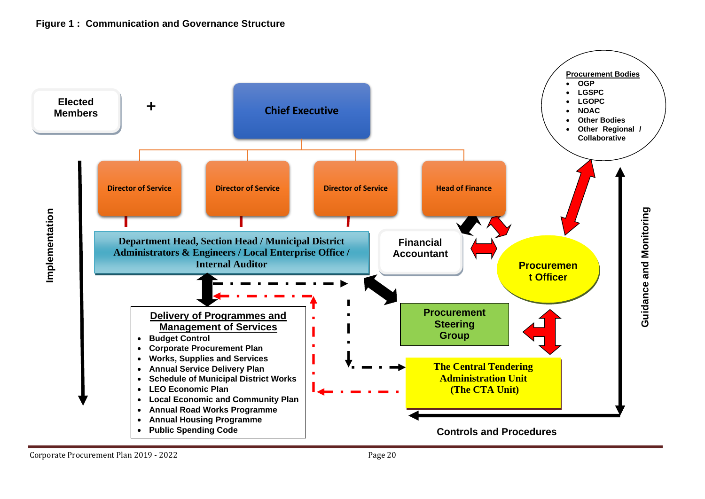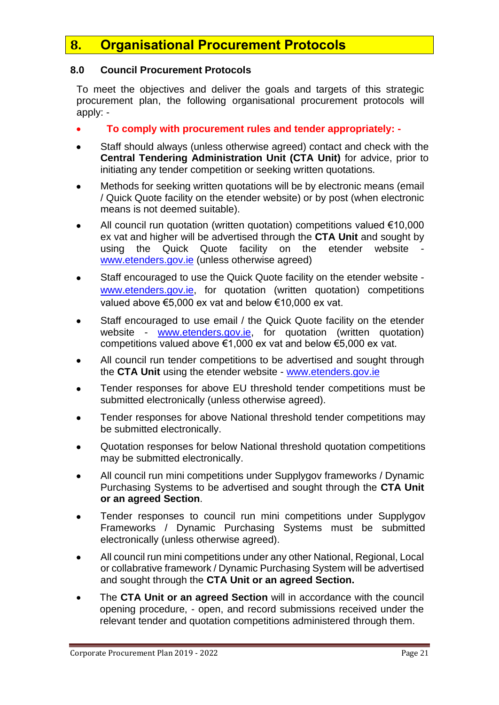# <span id="page-21-0"></span>**8. Organisational Procurement Protocols**

#### **8.0 Council Procurement Protocols**

To meet the objectives and deliver the goals and targets of this strategic procurement plan, the following organisational procurement protocols will apply: -

- **To comply with procurement rules and tender appropriately: -**
- Staff should always (unless otherwise agreed) contact and check with the **Central Tendering Administration Unit (CTA Unit)** for advice, prior to initiating any tender competition or seeking written quotations.
- Methods for seeking written quotations will be by electronic means (email / Quick Quote facility on the etender website) or by post (when electronic means is not deemed suitable).
- All council run quotation (written quotation) competitions valued €10,000 ex vat and higher will be advertised through the **CTA Unit** and sought by using the Quick Quote facility on the etender website [www.etenders.gov.ie](http://www.etenders.gov.ie/) (unless otherwise agreed)
- Staff encouraged to use the Quick Quote facility on the etender website [www.etenders.gov.ie,](http://www.etenders.gov.ie/) for quotation (written quotation) competitions valued above €5,000 ex vat and below €10,000 ex vat.
- Staff encouraged to use email / the Quick Quote facility on the etender website - [www.etenders.gov.ie,](http://www.etenders.gov.ie/) for quotation (written quotation) competitions valued above €1,000 ex vat and below €5,000 ex vat.
- All council run tender competitions to be advertised and sought through the **CTA Unit** using the etender website - [www.etenders.gov.ie](http://www.etenders.gov.ie/)
- Tender responses for above EU threshold tender competitions must be submitted electronically (unless otherwise agreed).
- Tender responses for above National threshold tender competitions may be submitted electronically.
- Quotation responses for below National threshold quotation competitions may be submitted electronically.
- All council run mini competitions under Supplygov frameworks / Dynamic Purchasing Systems to be advertised and sought through the **CTA Unit or an agreed Section**.
- Tender responses to council run mini competitions under Supplygov Frameworks / Dynamic Purchasing Systems must be submitted electronically (unless otherwise agreed).
- All council run mini competitions under any other National, Regional, Local or collabrative framework / Dynamic Purchasing System will be advertised and sought through the **CTA Unit or an agreed Section.**
- The **CTA Unit or an agreed Section** will in accordance with the council opening procedure, - open, and record submissions received under the relevant tender and quotation competitions administered through them.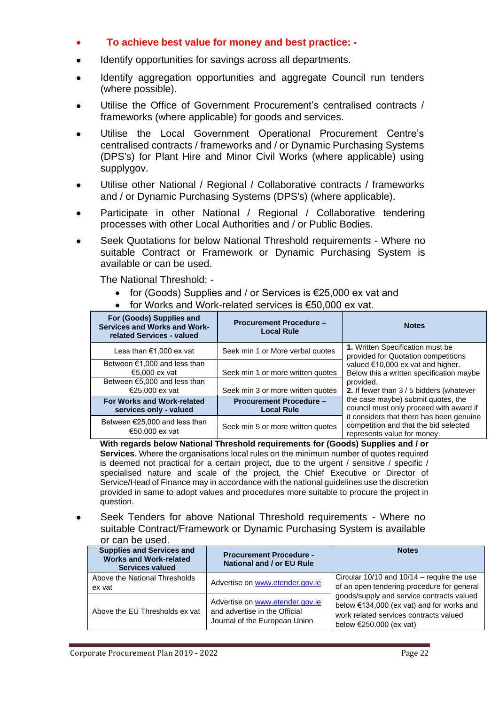## • **To achieve best value for money and best practice: -**

- Identify opportunities for savings across all departments.
- Identify aggregation opportunities and aggregate Council run tenders (where possible).
- Utilise the Office of Government Procurement's centralised contracts / frameworks (where applicable) for goods and services.
- Utilise the Local Government Operational Procurement Centre's centralised contracts / frameworks and / or Dynamic Purchasing Systems (DPS's) for Plant Hire and Minor Civil Works (where applicable) using supplygov.
- Utilise other National / Regional / Collaborative contracts / frameworks and / or Dynamic Purchasing Systems (DPS's) (where applicable).
- Participate in other National / Regional / Collaborative tendering processes with other Local Authorities and / or Public Bodies.
- Seek Quotations for below National Threshold requirements Where no suitable Contract or Framework or Dynamic Purchasing System is available or can be used.

The National Threshold: -

- for (Goods) Supplies and / or Services is €25,000 ex vat and
	- for Works and Work-related services is €50,000 ex vat.

| For (Goods) Supplies and<br>Services and Works and Work-<br>related Services - valued | <b>Procurement Procedure -</b><br><b>Local Rule</b> | <b>Notes</b>                                                                                                     |  |  |
|---------------------------------------------------------------------------------------|-----------------------------------------------------|------------------------------------------------------------------------------------------------------------------|--|--|
| Less than €1,000 ex vat                                                               | Seek min 1 or More verbal quotes                    | 1. Written Specification must be<br>provided for Quotation competitions                                          |  |  |
| Between $€1,000$ and less than<br>€5.000 ex vat                                       | Seek min 1 or more written quotes                   | valued €10,000 ex vat and higher.<br>Below this a written specification maybe                                    |  |  |
| Between €5,000 and less than<br>€25,000 ex vat                                        | Seek min 3 or more written quotes                   | provided.<br>2. If fewer than 3 / 5 bidders (whatever                                                            |  |  |
| For Works and Work-related<br>services only - valued                                  | <b>Procurement Procedure -</b><br><b>Local Rule</b> | the case maybe) submit quotes, the<br>council must only proceed with award if                                    |  |  |
| Between $€25,000$ and less than<br>€50,000 ex vat                                     | Seek min 5 or more written quotes                   | it considers that there has been genuine<br>competition and that the bid selected<br>represents value for money. |  |  |

**With regards below National Threshold requirements for (Goods) Supplies and / or Services**. Where the organisations local rules on the minimum number of quotes required is deemed not practical for a certain project, due to the urgent / sensitive / specific / specialised nature and scale of the project, the Chief Executive or Director of Service/Head of Finance may in accordance with the national guidelines use the discretion provided in same to adopt values and procedures more suitable to procure the project in question.

Seek Tenders for above National Threshold requirements - Where no suitable Contract/Framework or Dynamic Purchasing System is available or can be used.

| <b>Supplies and Services and</b><br><b>Works and Work-related</b><br><b>Services valued</b> | <b>Procurement Procedure -</b><br>National and / or EU Rule                                       | <b>Notes</b>                                                                                                                                                          |
|---------------------------------------------------------------------------------------------|---------------------------------------------------------------------------------------------------|-----------------------------------------------------------------------------------------------------------------------------------------------------------------------|
| Above the National Thresholds<br>ex vat                                                     | Advertise on www.etender.gov.ie                                                                   | Circular $10/10$ and $10/14$ – require the use<br>of an open tendering procedure for general                                                                          |
| Above the EU Thresholds ex vat                                                              | Advertise on www.etender.gov.ie<br>and advertise in the Official<br>Journal of the European Union | goods/supply and service contracts valued<br>below €134,000 (ex vat) and for works and<br>work related services contracts valued<br>below $\epsilon$ 250,000 (ex vat) |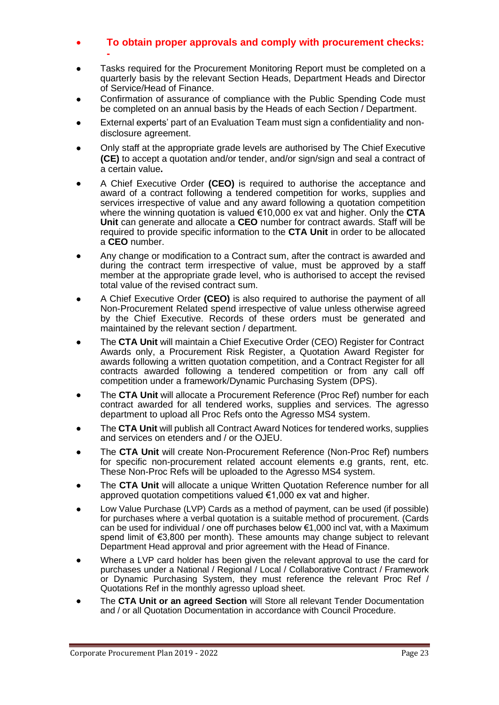#### • **To obtain proper approvals and comply with procurement checks: -**

- Tasks required for the Procurement Monitoring Report must be completed on a quarterly basis by the relevant Section Heads, Department Heads and Director of Service/Head of Finance.
- Confirmation of assurance of compliance with the Public Spending Code must be completed on an annual basis by the Heads of each Section / Department.
- External experts' part of an Evaluation Team must sign a confidentiality and nondisclosure agreement.
- Only staff at the appropriate grade levels are authorised by The Chief Executive **(CE)** to accept a quotation and/or tender, and/or sign/sign and seal a contract of a certain value**.**
- A Chief Executive Order **(CEO)** is required to authorise the acceptance and award of a contract following a tendered competition for works, supplies and services irrespective of value and any award following a quotation competition where the winning quotation is valued €10,000 ex vat and higher. Only the **CTA Unit** can generate and allocate a **CEO** number for contract awards. Staff will be required to provide specific information to the **CTA Unit** in order to be allocated a **CEO** number.
- Any change or modification to a Contract sum, after the contract is awarded and during the contract term irrespective of value, must be approved by a staff member at the appropriate grade level, who is authorised to accept the revised total value of the revised contract sum.
- A Chief Executive Order **(CEO)** is also required to authorise the payment of all Non-Procurement Related spend irrespective of value unless otherwise agreed by the Chief Executive. Records of these orders must be generated and maintained by the relevant section / department.
- The **CTA Unit** will maintain a Chief Executive Order (CEO) Register for Contract Awards only, a Procurement Risk Register, a Quotation Award Register for awards following a written quotation competition, and a Contract Register for all contracts awarded following a tendered competition or from any call off competition under a framework/Dynamic Purchasing System (DPS).
- The **CTA Unit** will allocate a Procurement Reference (Proc Ref) number for each contract awarded for all tendered works, supplies and services. The agresso department to upload all Proc Refs onto the Agresso MS4 system.
- The **CTA Unit** will publish all Contract Award Notices for tendered works, supplies and services on etenders and / or the OJEU.
- The **CTA Unit** will create Non-Procurement Reference (Non-Proc Ref) numbers for specific non-procurement related account elements e.g grants, rent, etc. These Non-Proc Refs will be uploaded to the Agresso MS4 system.
- The **CTA Unit** will allocate a unique Written Quotation Reference number for all approved quotation competitions valued €1,000 ex vat and higher.
- Low Value Purchase (LVP) Cards as a method of payment, can be used (if possible) for purchases where a verbal quotation is a suitable method of procurement. (Cards can be used for individual / one off purchases below  $\epsilon$ 1,000 incl vat, with a Maximum spend limit of €3,800 per month). These amounts may change subject to relevant Department Head approval and prior agreement with the Head of Finance.
- Where a LVP card holder has been given the relevant approval to use the card for purchases under a National / Regional / Local / Collaborative Contract / Framework or Dynamic Purchasing System, they must reference the relevant Proc Ref / Quotations Ref in the monthly agresso upload sheet.
- The **CTA Unit or an agreed Section** will Store all relevant Tender Documentation and / or all Quotation Documentation in accordance with Council Procedure.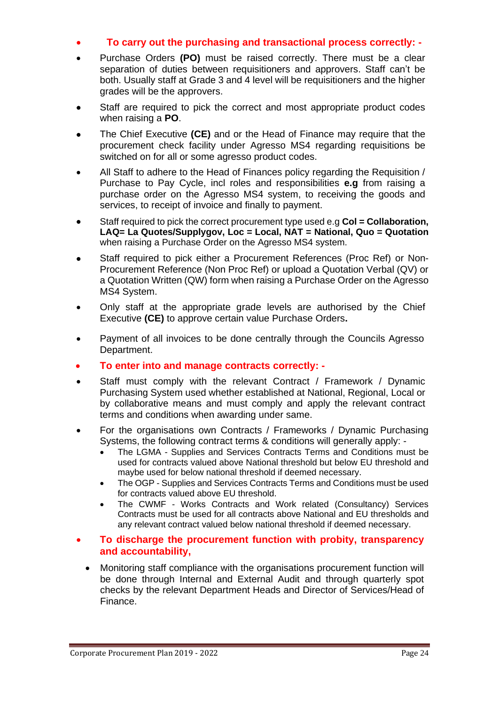#### • **To carry out the purchasing and transactional process correctly: -**

- Purchase Orders **(PO)** must be raised correctly. There must be a clear separation of duties between requisitioners and approvers. Staff can't be both. Usually staff at Grade 3 and 4 level will be requisitioners and the higher grades will be the approvers.
- Staff are required to pick the correct and most appropriate product codes when raising a **PO**.
- The Chief Executive **(CE)** and or the Head of Finance may require that the procurement check facility under Agresso MS4 regarding requisitions be switched on for all or some agresso product codes.
- All Staff to adhere to the Head of Finances policy regarding the Requisition / Purchase to Pay Cycle, incl roles and responsibilities **e.g** from raising a purchase order on the Agresso MS4 system, to receiving the goods and services, to receipt of invoice and finally to payment.
- Staff required to pick the correct procurement type used e.g **Col = Collaboration, LAQ= La Quotes/Supplygov, Loc = Local, NAT = National, Quo = Quotation**  when raising a Purchase Order on the Agresso MS4 system.
- Staff required to pick either a Procurement References (Proc Ref) or Non-Procurement Reference (Non Proc Ref) or upload a Quotation Verbal (QV) or a Quotation Written (QW) form when raising a Purchase Order on the Agresso MS4 System.
- Only staff at the appropriate grade levels are authorised by the Chief Executive **(CE)** to approve certain value Purchase Orders**.**
- Payment of all invoices to be done centrally through the Councils Agresso Department.
- **To enter into and manage contracts correctly: -**
- Staff must comply with the relevant Contract / Framework / Dynamic Purchasing System used whether established at National, Regional, Local or by collaborative means and must comply and apply the relevant contract terms and conditions when awarding under same.
- For the organisations own Contracts / Frameworks / Dynamic Purchasing Systems, the following contract terms & conditions will generally apply: -
	- The LGMA Supplies and Services Contracts Terms and Conditions must be used for contracts valued above National threshold but below EU threshold and maybe used for below national threshold if deemed necessary.
	- The OGP Supplies and Services Contracts Terms and Conditions must be used for contracts valued above EU threshold.
	- The CWMF Works Contracts and Work related (Consultancy) Services Contracts must be used for all contracts above National and EU thresholds and any relevant contract valued below national threshold if deemed necessary.

#### • **To discharge the procurement function with probity, transparency and accountability,**

• Monitoring staff compliance with the organisations procurement function will be done through Internal and External Audit and through quarterly spot checks by the relevant Department Heads and Director of Services/Head of Finance.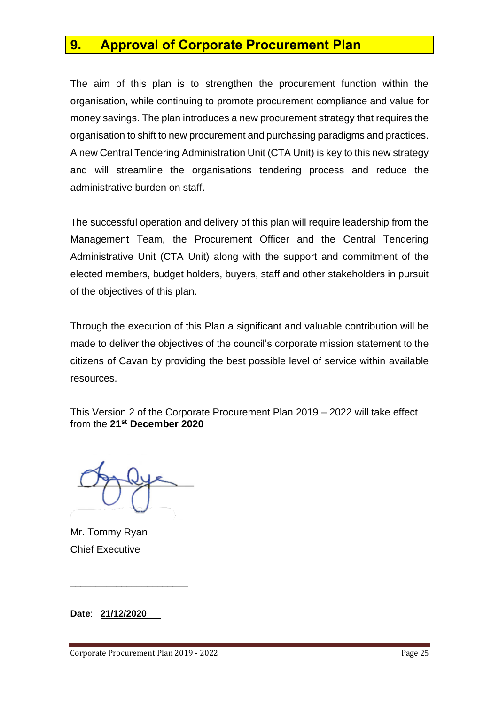# <span id="page-25-0"></span>**9. Approval of Corporate Procurement Plan**

The aim of this plan is to strengthen the procurement function within the organisation, while continuing to promote procurement compliance and value for money savings. The plan introduces a new procurement strategy that requires the organisation to shift to new procurement and purchasing paradigms and practices. A new Central Tendering Administration Unit (CTA Unit) is key to this new strategy and will streamline the organisations tendering process and reduce the administrative burden on staff.

The successful operation and delivery of this plan will require leadership from the Management Team, the Procurement Officer and the Central Tendering Administrative Unit (CTA Unit) along with the support and commitment of the elected members, budget holders, buyers, staff and other stakeholders in pursuit of the objectives of this plan.

Through the execution of this Plan a significant and valuable contribution will be made to deliver the objectives of the council's corporate mission statement to the citizens of Cavan by providing the best possible level of service within available resources.

This Version 2 of the Corporate Procurement Plan 2019 – 2022 will take effect from the **21st December 2020**

Mr. Tommy Ryan Chief Executive

**Date**: **21/12/2020**

\_\_\_\_\_\_\_\_\_\_\_\_\_\_\_\_\_\_\_\_\_\_\_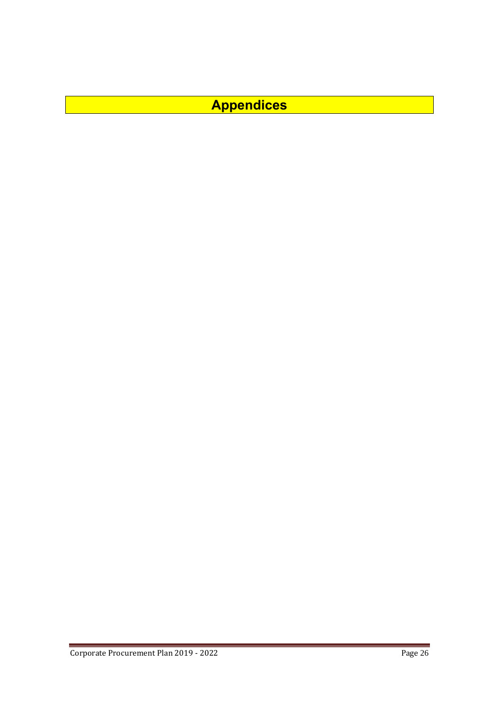<span id="page-26-0"></span>**Appendices**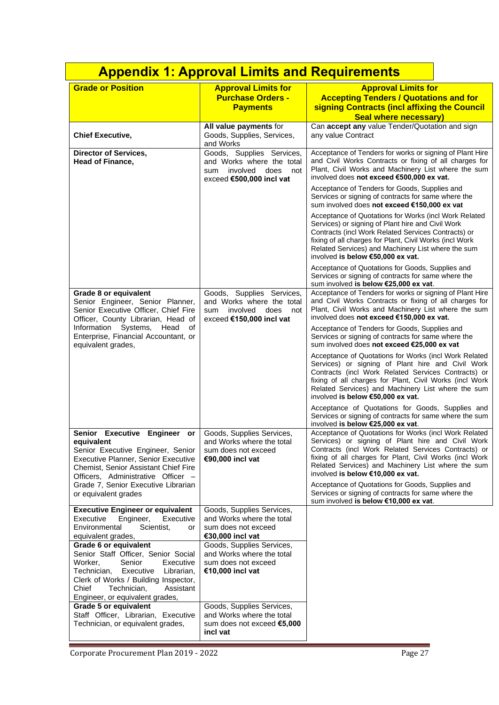<span id="page-27-0"></span>

|                                                                                                                                                                                                                                                                                                                               | <b>Appendix 1: Approval Limits and Requirements</b>                                                                                                                                                    |                                                                                                                                                                                                                                                                                                                                                                                                                                                                                                                                                                                                                                                                                                                                                   |  |
|-------------------------------------------------------------------------------------------------------------------------------------------------------------------------------------------------------------------------------------------------------------------------------------------------------------------------------|--------------------------------------------------------------------------------------------------------------------------------------------------------------------------------------------------------|---------------------------------------------------------------------------------------------------------------------------------------------------------------------------------------------------------------------------------------------------------------------------------------------------------------------------------------------------------------------------------------------------------------------------------------------------------------------------------------------------------------------------------------------------------------------------------------------------------------------------------------------------------------------------------------------------------------------------------------------------|--|
| <b>Grade or Position</b>                                                                                                                                                                                                                                                                                                      | <b>Approval Limits for</b><br><b>Purchase Orders -</b><br><b>Payments</b>                                                                                                                              | <b>Approval Limits for</b><br><b>Accepting Tenders / Quotations and for</b><br>signing Contracts (incl affixing the Council<br><b>Seal where necessary)</b>                                                                                                                                                                                                                                                                                                                                                                                                                                                                                                                                                                                       |  |
| <b>Chief Executive,</b>                                                                                                                                                                                                                                                                                                       | All value payments for<br>Goods, Supplies, Services,<br>and Works                                                                                                                                      | Can accept any value Tender/Quotation and sign<br>any value Contract                                                                                                                                                                                                                                                                                                                                                                                                                                                                                                                                                                                                                                                                              |  |
| <b>Director of Services,</b><br><b>Head of Finance,</b>                                                                                                                                                                                                                                                                       | Goods, Supplies Services,<br>and Works where the total<br>involved<br>does<br>not<br>sum<br>exceed €500,000 incl vat                                                                                   | Acceptance of Tenders for works or signing of Plant Hire<br>and Civil Works Contracts or fixing of all charges for<br>Plant, Civil Works and Machinery List where the sum<br>involved does not exceed €500,000 ex vat.<br>Acceptance of Tenders for Goods, Supplies and                                                                                                                                                                                                                                                                                                                                                                                                                                                                           |  |
|                                                                                                                                                                                                                                                                                                                               |                                                                                                                                                                                                        | Services or signing of contracts for same where the<br>sum involved does not exceed €150,000 ex vat<br>Acceptance of Quotations for Works (incl Work Related<br>Services) or signing of Plant hire and Civil Work<br>Contracts (incl Work Related Services Contracts) or<br>fixing of all charges for Plant, Civil Works (incl Work<br>Related Services) and Machinery List where the sum<br>involved is below €50,000 ex vat.<br>Acceptance of Quotations for Goods, Supplies and<br>Services or signing of contracts for same where the                                                                                                                                                                                                         |  |
| Grade 8 or equivalent<br>Senior Engineer, Senior Planner,<br>Senior Executive Officer, Chief Fire<br>Officer, County Librarian, Head of<br>Information Systems, Head<br>of<br>Enterprise, Financial Accountant, or<br>equivalent grades,                                                                                      | Goods, Supplies Services,<br>and Works where the total<br>involved<br>does<br>not<br>sum<br>exceed €150,000 incl vat                                                                                   | sum involved is below €25,000 ex vat.<br>Acceptance of Tenders for works or signing of Plant Hire<br>and Civil Works Contracts or fixing of all charges for<br>Plant, Civil Works and Machinery List where the sum<br>involved does not exceed €150,000 ex vat.<br>Acceptance of Tenders for Goods, Supplies and<br>Services or signing of contracts for same where the<br>sum involved does not exceed €25,000 ex vat<br>Acceptance of Quotations for Works (incl Work Related<br>Services) or signing of Plant hire and Civil Work<br>Contracts (incl Work Related Services Contracts) or<br>fixing of all charges for Plant, Civil Works (incl Work<br>Related Services) and Machinery List where the sum<br>involved is below €50,000 ex vat. |  |
| Senior Executive Engineer<br>or<br>equivalent<br>Senior Executive Engineer, Senior<br><b>Executive Planner, Senior Executive</b><br>Chemist, Senior Assistant Chief Fire<br>Officers, Administrative Officer -<br>Grade 7, Senior Executive Librarian<br>or equivalent grades                                                 | Goods, Supplies Services,<br>and Works where the total<br>sum does not exceed<br>€90.000 incl vat                                                                                                      | Acceptance of Quotations for Goods, Supplies and<br>Services or signing of contracts for same where the sum<br>involved is below €25,000 ex vat.<br>Acceptance of Quotations for Works (incl Work Related<br>Services) or signing of Plant hire and Civil Work<br>Contracts (incl Work Related Services Contracts) or<br>fixing of all charges for Plant, Civil Works (incl Work<br>Related Services) and Machinery List where the sum<br>involved is below €10,000 ex vat.<br>Acceptance of Quotations for Goods, Supplies and<br>Services or signing of contracts for same where the<br>sum involved is below €10,000 ex vat.                                                                                                                   |  |
| <b>Executive Engineer or equivalent</b><br>Executive<br>Executive<br>Engineer,<br>Environmental<br>Scientist,<br>or<br>equivalent grades,<br>Grade 6 or equivalent<br>Senior Staff Officer, Senior Social<br>Worker,<br>Senior<br>Executive<br>Technician,<br>Executive<br>Librarian,<br>Clerk of Works / Building Inspector, | Goods, Supplies Services,<br>and Works where the total<br>sum does not exceed<br>€30,000 incl vat<br>Goods, Supplies Services,<br>and Works where the total<br>sum does not exceed<br>€10,000 incl vat |                                                                                                                                                                                                                                                                                                                                                                                                                                                                                                                                                                                                                                                                                                                                                   |  |
| Chief<br>Technician,<br>Assistant<br>Engineer, or equivalent grades,<br><b>Grade 5 or equivalent</b><br>Staff Officer, Librarian, Executive<br>Technician, or equivalent grades,                                                                                                                                              | Goods, Supplies Services,<br>and Works where the total<br>sum does not exceed €5,000<br>incl vat                                                                                                       |                                                                                                                                                                                                                                                                                                                                                                                                                                                                                                                                                                                                                                                                                                                                                   |  |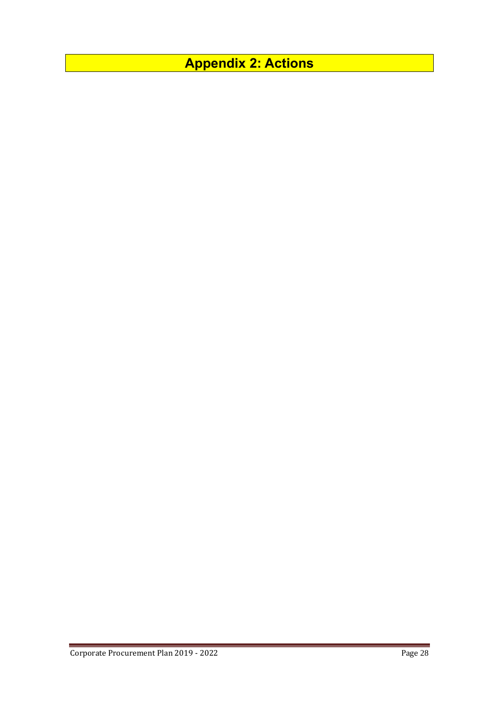<span id="page-28-0"></span>**Appendix 2: Actions**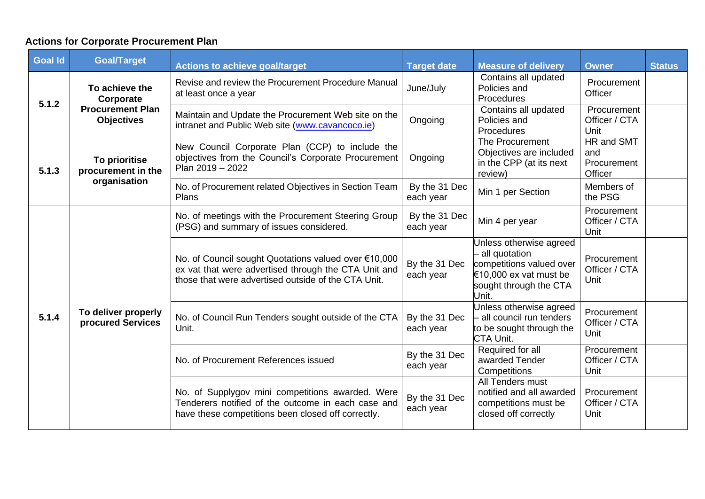# **Actions for Corporate Procurement Plan**

| <b>Goal Id</b> | <b>Goal/Target</b>                                  | <b>Actions to achieve goal/target</b>                                                                                                                               | <b>Target date</b>         | <b>Measure of delivery</b>                                                                                                          | <b>Owner</b>                                | <b>Status</b> |
|----------------|-----------------------------------------------------|---------------------------------------------------------------------------------------------------------------------------------------------------------------------|----------------------------|-------------------------------------------------------------------------------------------------------------------------------------|---------------------------------------------|---------------|
| 5.1.2          | To achieve the<br>Corporate                         | Revise and review the Procurement Procedure Manual<br>at least once a year                                                                                          | June/July                  | Contains all updated<br>Policies and<br>Procedures                                                                                  | Procurement<br>Officer                      |               |
|                | <b>Procurement Plan</b><br><b>Objectives</b>        | Maintain and Update the Procurement Web site on the<br>intranet and Public Web site (www.cavancoco.ie)                                                              | Ongoing                    | Contains all updated<br>Policies and<br>Procedures                                                                                  | Procurement<br>Officer / CTA<br>Unit        |               |
| 5.1.3          | To prioritise<br>procurement in the<br>organisation | New Council Corporate Plan (CCP) to include the<br>objectives from the Council's Corporate Procurement<br>Plan 2019 - 2022                                          | Ongoing                    | The Procurement<br>Objectives are included<br>in the CPP (at its next<br>review)                                                    | HR and SMT<br>and<br>Procurement<br>Officer |               |
|                |                                                     | No. of Procurement related Objectives in Section Team<br>Plans                                                                                                      | By the 31 Dec<br>each year | Min 1 per Section                                                                                                                   | Members of<br>the PSG                       |               |
| 5.1.4          | To deliver properly<br>procured Services            | No. of meetings with the Procurement Steering Group<br>(PSG) and summary of issues considered.                                                                      | By the 31 Dec<br>each year | Min 4 per year                                                                                                                      | Procurement<br>Officer / CTA<br>Unit        |               |
|                |                                                     | No. of Council sought Quotations valued over €10,000<br>ex vat that were advertised through the CTA Unit and<br>those that were advertised outside of the CTA Unit. | By the 31 Dec<br>each year | Unless otherwise agreed<br>- all quotation<br>competitions valued over<br>€10,000 ex vat must be<br>sought through the CTA<br>Unit. | Procurement<br>Officer / CTA<br>Unit        |               |
|                |                                                     | No. of Council Run Tenders sought outside of the CTA<br>Unit.                                                                                                       | By the 31 Dec<br>each year | Unless otherwise agreed<br>all council run tenders<br>to be sought through the<br>CTA Unit.                                         | Procurement<br>Officer / CTA<br>Unit        |               |
|                |                                                     | No. of Procurement References issued                                                                                                                                | By the 31 Dec<br>each year | Required for all<br>awarded Tender<br>Competitions                                                                                  | Procurement<br>Officer / CTA<br>Unit        |               |
|                |                                                     | No. of Supplygov mini competitions awarded. Were<br>Tenderers notified of the outcome in each case and<br>have these competitions been closed off correctly.        | By the 31 Dec<br>each year | All Tenders must<br>notified and all awarded<br>competitions must be<br>closed off correctly                                        | Procurement<br>Officer / CTA<br>Unit        |               |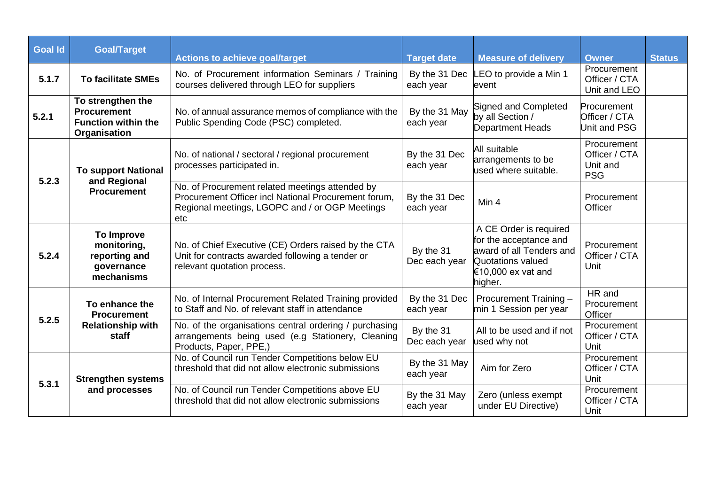| <b>Goal Id</b> | <b>Goal/Target</b>                                                                    | <b>Actions to achieve goal/target</b>                                                                                                                            | <b>Target date</b>         | <b>Measure of delivery</b>                                                                                                         | <b>Owner</b>                                           | <b>Status</b> |
|----------------|---------------------------------------------------------------------------------------|------------------------------------------------------------------------------------------------------------------------------------------------------------------|----------------------------|------------------------------------------------------------------------------------------------------------------------------------|--------------------------------------------------------|---------------|
| 5.1.7          | <b>To facilitate SMEs</b>                                                             | No. of Procurement information Seminars / Training<br>courses delivered through LEO for suppliers                                                                | By the 31 Dec<br>each year | LEO to provide a Min 1<br>event                                                                                                    | Procurement<br>Officer / CTA<br>Unit and LEO           |               |
| 5.2.1          | To strengthen the<br><b>Procurement</b><br><b>Function within the</b><br>Organisation | No. of annual assurance memos of compliance with the<br>Public Spending Code (PSC) completed.                                                                    | By the 31 May<br>each year | Signed and Completed<br>by all Section /<br>Department Heads                                                                       | Procurement<br>Officer / CTA<br><b>Unit and PSG</b>    |               |
|                | <b>To support National</b><br>and Regional<br><b>Procurement</b>                      | No. of national / sectoral / regional procurement<br>processes participated in.                                                                                  | By the 31 Dec<br>each year | All suitable<br>arrangements to be<br>used where suitable.                                                                         | Procurement<br>Officer / CTA<br>Unit and<br><b>PSG</b> |               |
| 5.2.3          |                                                                                       | No. of Procurement related meetings attended by<br>Procurement Officer incl National Procurement forum,<br>Regional meetings, LGOPC and / or OGP Meetings<br>etc | By the 31 Dec<br>each year | Min 4                                                                                                                              | Procurement<br>Officer                                 |               |
| 5.2.4          | To Improve<br>monitoring,<br>reporting and<br>governance<br>mechanisms                | No. of Chief Executive (CE) Orders raised by the CTA<br>Unit for contracts awarded following a tender or<br>relevant quotation process.                          | By the 31<br>Dec each year | A CE Order is required<br>for the acceptance and<br>award of all Tenders and<br>Quotations valued<br>€10,000 ex vat and<br>higher. | Procurement<br>Officer / CTA<br>Unit                   |               |
| 5.2.5          | To enhance the<br><b>Procurement</b><br><b>Relationship with</b><br>staff             | No. of Internal Procurement Related Training provided<br>to Staff and No. of relevant staff in attendance                                                        | By the 31 Dec<br>each year | Procurement Training -<br>min 1 Session per year                                                                                   | HR and<br>Procurement<br>Officer                       |               |
|                |                                                                                       | No. of the organisations central ordering / purchasing<br>arrangements being used (e.g Stationery, Cleaning<br>Products, Paper, PPE,)                            | By the 31<br>Dec each year | All to be used and if not<br>used why not                                                                                          | Procurement<br>Officer / CTA<br>Unit                   |               |
| 5.3.1          | <b>Strengthen systems</b>                                                             | No. of Council run Tender Competitions below EU<br>threshold that did not allow electronic submissions                                                           | By the 31 May<br>each year | Aim for Zero                                                                                                                       | Procurement<br>Officer / CTA<br>Unit                   |               |
|                | and processes                                                                         | No. of Council run Tender Competitions above EU<br>threshold that did not allow electronic submissions                                                           | By the 31 May<br>each year | Zero (unless exempt<br>under EU Directive)                                                                                         | Procurement<br>Officer / CTA<br>Unit                   |               |